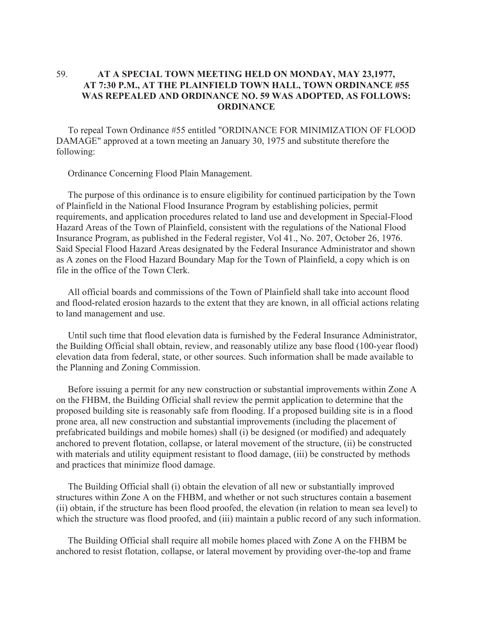## 59. **AT A SPECIAL TOWN MEETING HELD ON MONDAY, MAY 23,1977, AT 7:30 P.M., AT THE PLAINFIELD TOWN HALL, TOWN ORDINANCE #55 WAS REPEALED AND ORDINANCE NO. 59 WAS ADOPTED, AS FOLLOWS: ORDINANCE**

 To repeal Town Ordinance #55 entitled "ORDINANCE FOR MINIMIZATION OF FLOOD DAMAGE" approved at a town meeting an January 30, 1975 and substitute therefore the following:

Ordinance Concerning Flood Plain Management.

 The purpose of this ordinance is to ensure eligibility for continued participation by the Town of Plainfield in the National Flood Insurance Program by establishing policies, permit requirements, and application procedures related to land use and development in Special-Flood Hazard Areas of the Town of Plainfield, consistent with the regulations of the National Flood Insurance Program, as published in the Federal register, Vol 41., No. 207, October 26, 1976. Said Special Flood Hazard Areas designated by the Federal Insurance Administrator and shown as A zones on the Flood Hazard Boundary Map for the Town of Plainfield, a copy which is on file in the office of the Town Clerk.

 All official boards and commissions of the Town of Plainfield shall take into account flood and flood-related erosion hazards to the extent that they are known, in all official actions relating to land management and use.

 Until such time that flood elevation data is furnished by the Federal Insurance Administrator, the Building Official shall obtain, review, and reasonably utilize any base flood (100-year flood) elevation data from federal, state, or other sources. Such information shall be made available to the Planning and Zoning Commission.

 Before issuing a permit for any new construction or substantial improvements within Zone A on the FHBM, the Building Official shall review the permit application to determine that the proposed building site is reasonably safe from flooding. If a proposed building site is in a flood prone area, all new construction and substantial improvements (including the placement of prefabricated buildings and mobile homes) shall (i) be designed (or modified) and adequately anchored to prevent flotation, collapse, or lateral movement of the structure, (ii) be constructed with materials and utility equipment resistant to flood damage, (iii) be constructed by methods and practices that minimize flood damage.

 The Building Official shall (i) obtain the elevation of all new or substantially improved structures within Zone A on the FHBM, and whether or not such structures contain a basement (ii) obtain, if the structure has been flood proofed, the elevation (in relation to mean sea level) to which the structure was flood proofed, and (iii) maintain a public record of any such information.

 The Building Official shall require all mobile homes placed with Zone A on the FHBM be anchored to resist flotation, collapse, or lateral movement by providing over-the-top and frame